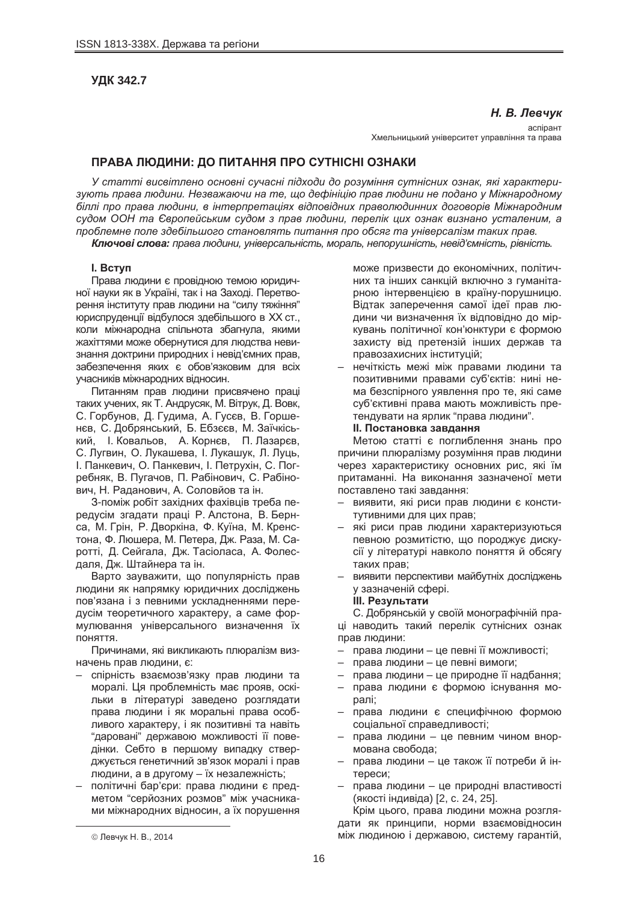# **ɍȾɄ 342.7**

# **Н. В. Левчук**

acпipaнт Хмельницький університет управління та права

# **ɉɊȺȼȺ ɅɘȾɂɇɂ: ȾɈ ɉɂɌȺɇɇə ɉɊɈ ɋɍɌɇȱɋɇȱ ɈɁɇȺɄɂ**

У статті висвітлено основні сучасні підходи до розуміння сутнісних ознак, які характери- $3$ ують права людини. Незважаючи на те, що дефініцію прав людини не подано у Міжнародному *біллі про права людини, в інтерпретаціях відповідних праволюдинних договорів Міжнародним*  $c$ удом ООН та Європейським судом з прав людини, перелік цих ознак визнано усталеним, а лроблемне поле здебільшого становлять питання про обсяг та універсалізм таких прав. Kлючові слова: права людини, універсальність, мораль, непорушність, невід'ємність, рівність,

#### **l.** BCTVN

Права людини є провідною темою юридичної науки як в Україні, так і на Заході. Перетворення інституту прав людини на "силу тяжіння" юриспруденції відбулося здебільшого в XX ст., коли міжнародна спільнота збагнула, якими жахіттями може обернутися для людства невизнання доктрини природних і невід'ємних прав, забезпечення яких є обов'язковим для всіх учасників міжнародних відносин.

Питанням прав людини присвячено праці таких учених, як Т. Андрусяк, М. Вітрук, Д. Вовк, С. Горбунов, Д. Гудима, А. Гусєв, В. Горшенєв, С. Добрянський, Б. Ебзєєв, М. Заїчкіський, І. Ковальов, А. Корнєв, П. Лазарєв, С. Лугвин, О. Лукашева, І. Лукашук, Л. Луць, I. Панкевич, О. Панкевич, I. Петрухін, С. Погребняк, В. Пугачов, П. Рабінович, С. Рабінович, Н. Раданович, А. Соловйов та ін.

З-поміж робіт західних фахівців треба передусім згадати праці Р. Алстона, В. Бернса, М. Грін, Р. Дворкіна, Ф. Куїна, М. Кренстона, Ф. Люшера, М. Петера, Дж. Раза, М. Саротті, Д. Сейгала, Дж. Тасіоласа, А. Фолесдаля, Дж. Штайнера та ін.

Варто зауважити, що популярність прав людини як напрямку юридичних досліджень пов'язана і з певними ускладненнями передусім теоретичного характеру, а саме формулювання універсального визначення їх поняття.

Причинами, які викликають плюралізм визначень прав людини, є:

- спірність взаємозв'язку прав людини та моралі. Ця проблемність має прояв, оскільки в літературі заведено розглядати права людини і як моральні права особливого характеру, і як позитивні та навіть "даровані" державою можливості її поведінки. Себто в першому випадку стверджується генетичний зв'язок моралі і прав людини, а в другому – їх незалежність;
- політичні бар'єри: права людини є предметом "серйозних розмов" між учасниками міжнародних відносин, а їх порушення

може призвести до економічних, політичних та інших санкцій включно з гуманітарною інтервенцією в країну-порушницю. Відтак заперечення самої ідеї прав людини чи визначення їх відповідно до міркувань політичної кон'юнктури є формою захисту від претензій інших держав та правозахисних інституцій;

нечіткість межі між правами людини та позитивними правами суб'єктів: нині нема безспірного уявлення про те, які саме суб'єктивні права мають можливість претендувати на ярлик "права людини".  $II.$  Постановка завдання

Метою статті є поглиблення знань про причини плюралізму розуміння прав людини через характеристику основних рис. які їм притаманні. На виконання зазначеної мети поставлено такі завдання:

- виявити, які риси прав людини є конститутивними для цих прав;
- які риси прав людини характеризуються певною розмитістю, що породжує дискусії у літературі навколо поняття й обсягу таких прав;
- виявити перспективи майбутніх досліджень у зазначеній сфері.

#### **Ш.** Результати

С. Добрянській у своїй монографічній праці наводить такий перелік сутнісних ознак прав людини:

- права людини це певні її можливості;
- права людини це певні вимоги;
- права людини це природне її надбання;
- права людини є формою існування моралі:
- права людини є специфічною формою соціальної справедливості:
- права людини це певним чином внормована свобода;
- права людини це також її потреби й інтереси:
- права людини це природні властивості (якості індивіда) [2, с. 24, 25].

Крім цього, права людини можна розглядати як принципи, норми взаємовідносин між людиною і державою, систему гарантій,

 $\overline{a}$ 

<sup>©</sup> Левчук Н. В., 2014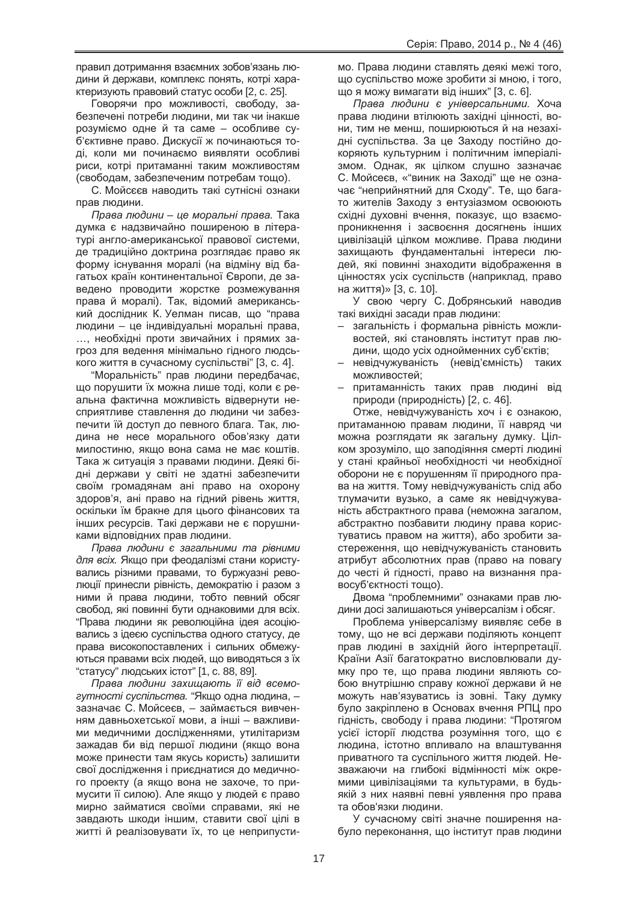правил дотримання взаємних зобов'язань людини й держави, комплекс понять, котрі характеризують правовий статус особи [2, с. 25].

Говорячи про можливості, свободу, забезпечені потреби людини, ми так чи інакше розуміємо одне й та саме – особливе суб'єктивне право. Дискусії ж починаються тоді, коли ми починаємо виявляти особливі риси, котрі притаманні таким можливостям (свободам, забезпеченим потребам тощо).

С. Мойсєєв наводить такі сутнісні ознаки прав людини.

 $\Pi$ рава людини – це моральні права. Така думка є надзвичайно поширеною в літературі англо-американської правової системи, де традиційно доктрина розглядає право як форму існування моралі (на відміну від багатьох країн континентальної Європи, де заведено проводити жорстке розмежування права й моралі). Так, відомий американський дослідник К. Уелман писав, що "права людини – це індивідуальні моральні права, …, необхідні проти звичайних і прямих загроз для ведення мінімально гідного людського життя в сучасному суспільстві" [3, с. 4].

"Моральність" прав людини передбачає, що порушити їх можна лише тоді, коли є реальна фактична можливість відвернути несприятливе ставлення до людини чи забезпечити їй доступ до певного блага. Так, людина не несе морального обов'язку дати милостиню, якщо вона сама не має коштів. Така ж ситуація з правами людини. Деякі бідні держави у світі не здатні забезпечити своїм громадянам ані право на охорону здоров'я, ані право на гідний рівень життя, оскільки їм бракне для цього фінансових та інших ресурсів. Такі держави не є порушниками відповідних прав людини.

*ɉɪɚɜɚ ɥɸɞɢɧɢ ɽ ɡɚɝɚɥɶɧɢɦɢ ɬɚ ɪɿɜɧɢɦɢ* для всіх. Якшо при феодалізмі стани користувались різними правами, то буржуазні революції принесли рівність, демократію і разом з ними й права людини, тобто певний обсяг свобод, які повинні бути однаковими для всіх. "Права людини як революційна ідея асоціювались з ідеєю суспільства одного статусу, де права високопоставлених і сильних обмежуються правами всіх людей, що виводяться з їх "статусу" людських істот" [1, с. 88, 89].

Права людини захищають її від всемо**еутності суспільства. "Якщо одна людина, –** зазначає С. Мойсеєв, – займається вивченням давньохетської мови, а інші - важливими медичними дослідженнями, утилітаризм зажадав би від першої людини (якщо вона може принести там якусь користь) залишити свої дослідження і приєднатися до медичного проекту (а якщо вона не захоче, то примусити її силою). Але якшо у людей є право мирно займатися своїми справами, які не завдають шкоди іншим, ставити свої цілі в житті й реалізовувати їх, то це неприпустимо. Права людини ставлять деякі межі того, що суспільство може зробити зі мною, і того, що я можу вимагати від інших" [3, с. 6].

 $\Pi$ рава людини є універсальними. Хоча права людини втілюють західні цінності, вони, тим не менш, поширюються й на незахідні суспільства. За це Заходу постійно докоряють культурним і політичним імперіалізмом. Однак, як цілком слушно зазначає С. Мойсеєв, «"виник на Заході" ще не означає "неприйнятний для Сходу". Те, що багато жителів Заходу з ентузіазмом освоюють східні духовні вчення, показує, що взаємопроникнення і засвоєння досягнень інших цивілізацій цілком можливе. Права людини захищають фундаментальні інтереси людей, які повинні знаходити відображення в цінностях усіх суспільств (наприклад, право на життя)» [3, с. 10].

У свою чергу С. Добрянський наводив такі вихідні засади прав людини:

- загальність і формальна рівність можливостей, які становлять інститут прав людини, щодо усіх однойменних суб'єктів;
- невідчужуваність (невід'ємність) таких можливостей:
- притаманність таких прав людині від природи (природність) [2, с. 46].

Отже, невідчужуваність хоч і є ознакою, притаманною правам людини, її навряд чи можна розглядати як загальну думку. Цілком зрозуміло, що заподіяння смерті людині у стані крайньої необхідності чи необхідної оборони не є порушенням її природного права на життя. Тому невідчужуваність слід або тлумачити вузько, а саме як невідчужуваність абстрактного права (неможна загалом, абстрактно позбавити людину права користуватись правом на життя), або зробити застереження, що невідчужуваність становить атрибут абсолютних прав (право на повагу до честі й гідності, право на визнання правосуб'єктності тощо).

Двома "проблемними" ознаками прав людини досі залишаються універсалізм і обсяг.

Проблема універсалізму виявляє себе в тому, що не всі держави поділяють концепт прав людині в західній його інтерпретації. Країни Азії багатократно висловлювали думку про те, що права людини являють собою внутрішню справу кожної держави й не можуть нав'язуватись із зовні. Таку думку було закріплено в Основах вчення РПЦ про гідність, свободу і права людини: "Протягом усієї історії людства розуміння того, що є людина, істотно впливало на влаштування приватного та суспільного життя людей. Незважаючи на глибокі відмінності між окремими цивілізаціями та культурами, в будьякій з них наявні певні уявлення про права та обов'язки людини.

У сучасному світі значне поширення набуло переконання, що інститут прав людини